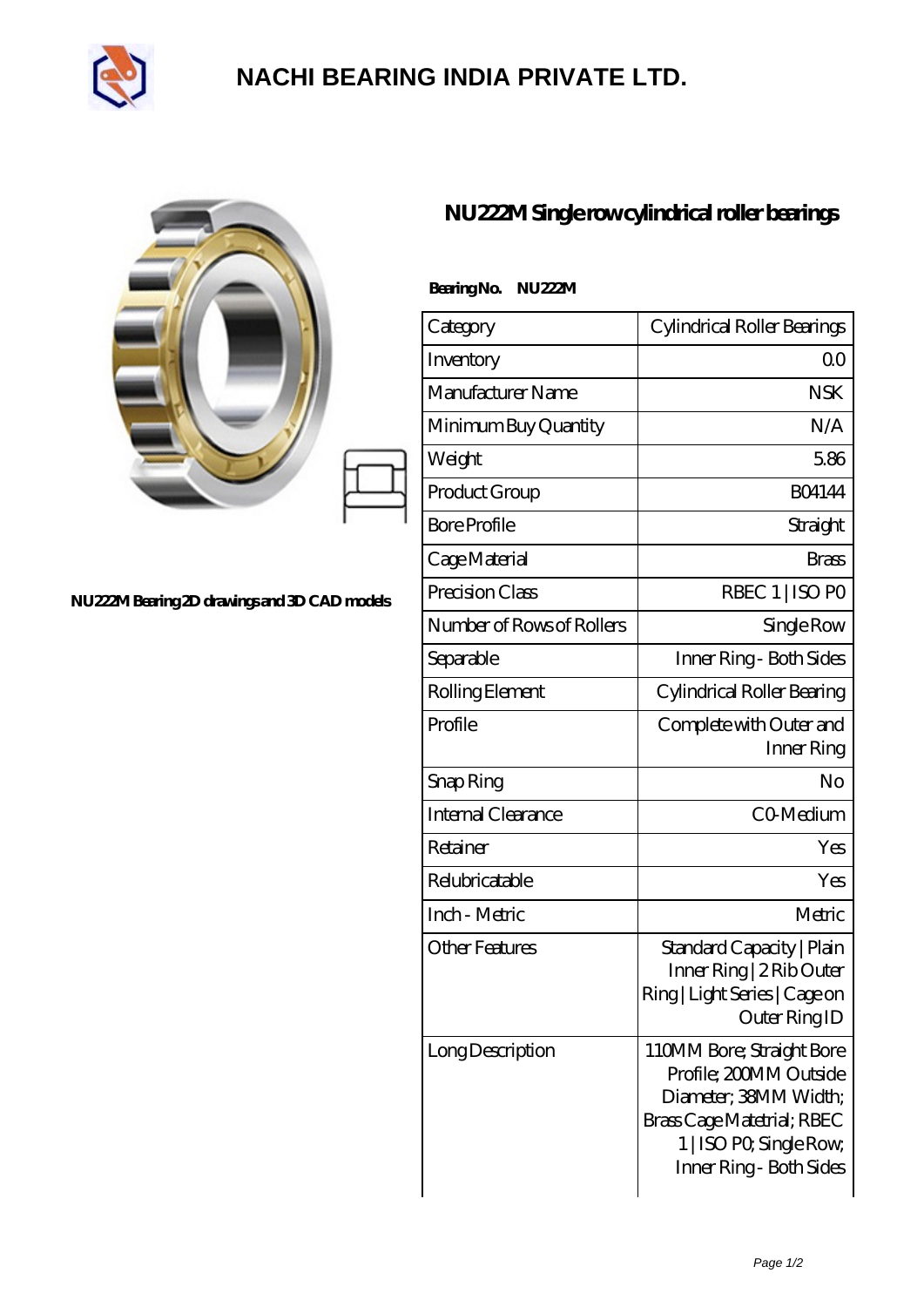

## **[NACHI BEARING INDIA PRIVATE LTD.](https://pipilatou.com)**

|                                              | NU222M Single rowcylindrical roller bearings |                                                                                                                                                                  |
|----------------------------------------------|----------------------------------------------|------------------------------------------------------------------------------------------------------------------------------------------------------------------|
|                                              | BearingNo.<br>NU222M                         |                                                                                                                                                                  |
|                                              | Category                                     | Cylindrical Roller Bearings                                                                                                                                      |
|                                              | Inventory                                    | 0 <sub>0</sub>                                                                                                                                                   |
|                                              | Manufacturer Name                            | <b>NSK</b>                                                                                                                                                       |
|                                              | Minimum Buy Quantity                         | N/A                                                                                                                                                              |
|                                              | Weight                                       | 5.86                                                                                                                                                             |
|                                              | Product Group                                | <b>BO4144</b>                                                                                                                                                    |
|                                              | <b>Bore Profile</b>                          | Straight                                                                                                                                                         |
|                                              | Cage Material                                | <b>Brass</b>                                                                                                                                                     |
| NU222M Bearing 2D drawings and 3D CAD models | Precision Class                              | RBEC 1   ISO PO                                                                                                                                                  |
|                                              | Number of Rows of Rollers                    | Single Row                                                                                                                                                       |
|                                              | Separable                                    | Inner Ring - Both Sides                                                                                                                                          |
|                                              | Rolling Element                              | Cylindrical Roller Bearing                                                                                                                                       |
|                                              | Profile                                      | Complete with Outer and<br>Inner Ring                                                                                                                            |
|                                              | Snap Ring                                    | No                                                                                                                                                               |
|                                              | Internal Clearance                           | CO-Medium                                                                                                                                                        |
|                                              | Retainer                                     | Yes                                                                                                                                                              |
|                                              | Relubricatable                               | Yes                                                                                                                                                              |
|                                              | Inch - Metric                                | Metric                                                                                                                                                           |
|                                              | <b>Other Features</b>                        | Standard Capacity   Plain<br>Inner Ring   2 Rib Outer<br>Ring   Light Series   Cage on<br>Outer Ring ID                                                          |
|                                              | Long Description                             | 110MM Bore; Straight Bore<br>Profile; 200MM Outside<br>Diameter; 38MM Width;<br>Brass Cage Matetrial; RBEC<br>1   ISO PO, Single Row,<br>Inner Ring - Both Sides |